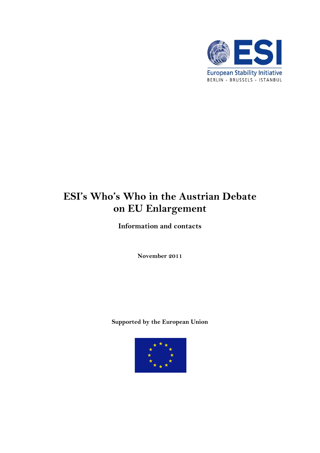

# **ESI's Who's Who in the Austrian Debate on EU Enlargement**

**Information and contacts**

**November 2011**

**Supported by the European Union**

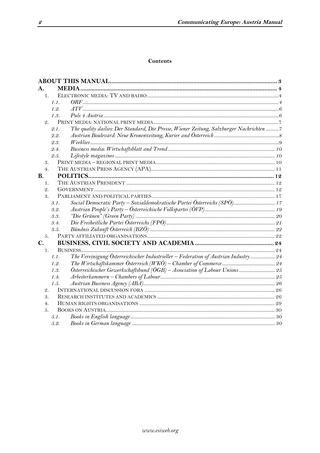# **Contents**

| А.                    |      | <b>MEDIA.</b>                                                                           |  |  |  |
|-----------------------|------|-----------------------------------------------------------------------------------------|--|--|--|
| $\mathbf{1}$ .        |      |                                                                                         |  |  |  |
|                       | 1.1. |                                                                                         |  |  |  |
|                       | 1.2. |                                                                                         |  |  |  |
|                       | 1.3. |                                                                                         |  |  |  |
| $\mathfrak{D}$ .      |      |                                                                                         |  |  |  |
|                       | 2.1. | The quality dailies: Der Standard, Die Presse, Wiener Zeitung, Salzburger Nachrichten 7 |  |  |  |
|                       | 2.2. |                                                                                         |  |  |  |
|                       | 2.3. |                                                                                         |  |  |  |
|                       | 2.4. |                                                                                         |  |  |  |
|                       | 2.5. |                                                                                         |  |  |  |
| 3.                    |      |                                                                                         |  |  |  |
| 4.                    |      |                                                                                         |  |  |  |
| <b>B.</b>             |      |                                                                                         |  |  |  |
| $\mathbf{1}$ .        |      |                                                                                         |  |  |  |
| $\mathcal{Q}_{\cdot}$ |      |                                                                                         |  |  |  |
| 3.                    |      |                                                                                         |  |  |  |
|                       | 3.1. | Social Democratic Party - Sozialdemokratische Partei Österreichs (SPÖ) 17               |  |  |  |
|                       | 3.2. |                                                                                         |  |  |  |
|                       | 3.3. |                                                                                         |  |  |  |
|                       | 3.4. |                                                                                         |  |  |  |
|                       | 3.5. |                                                                                         |  |  |  |
| 5.                    |      |                                                                                         |  |  |  |
| $\mathbf{C}$ .        |      |                                                                                         |  |  |  |
| 1.                    |      |                                                                                         |  |  |  |
|                       | 1.1. | The Vereinigung Österreichischer Industrieller - Federation of Austrian Industry  24    |  |  |  |
|                       | 1.2. |                                                                                         |  |  |  |
|                       | 1.3. | Österreichischer Gewerkschaftsbund (ÖGB) - Association of Labour Unions 25              |  |  |  |
|                       | 1.4. |                                                                                         |  |  |  |
|                       | 1.5. |                                                                                         |  |  |  |
| $\mathcal{Q}_1$       |      |                                                                                         |  |  |  |
| $\mathcal{S}_{-}$     |      |                                                                                         |  |  |  |
| 4 <sub>1</sub>        |      |                                                                                         |  |  |  |
| 5.                    |      |                                                                                         |  |  |  |
|                       | 5.1. |                                                                                         |  |  |  |
|                       | 5.2. |                                                                                         |  |  |  |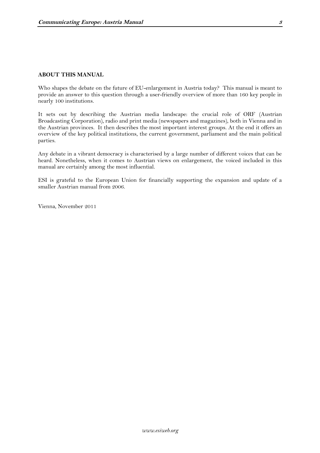#### <span id="page-2-0"></span>**ABOUT THIS MANUAL**

Who shapes the debate on the future of EU-enlargement in Austria today? This manual is meant to provide an answer to this question through a user-friendly overview of more than 160 key people in nearly 100 institutions.

It sets out by describing the Austrian media landscape: the crucial role of ORF (Austrian Broadcasting Corporation), radio and print media (newspapers and magazines), both in Vienna and in the Austrian provinces. It then describes the most important interest groups. At the end it offers an overview of the key political institutions, the current government, parliament and the main political parties.

Any debate in a vibrant democracy is characterised by a large number of different voices that can be heard. Nonetheless, when it comes to Austrian views on enlargement, the voiced included in this manual are certainly among the most influential.

ESI is grateful to the European Union for financially supporting the expansion and update of a smaller Austrian manual from 2006.

Vienna, November 2011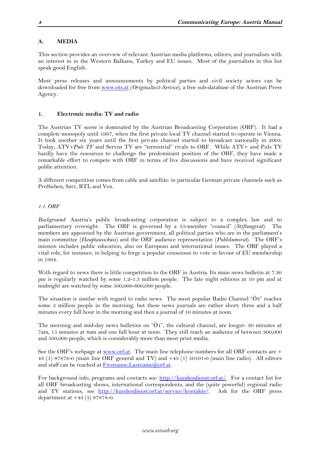# <span id="page-3-0"></span>**A. MEDIA**

This section provides an overview of relevant Austrian media platforms, editors, and journalists with an interest in in the Western Balkans, Turkey and EU issues. Most of the journalists in this list speak good English.

Most press releases and announcements by political parties and civil society actors can be downloaded for free from [www.ots.at](http://www.ots.at/) (*Originaltext-Service*), a free sub-database of the Austrian Press Agency.

# <span id="page-3-1"></span>**1. Electronic media: TV and radio**

The Austrian TV scene is dominated by the Austrian Broadcasting Corporation (ORF). It had a complete monopoly until 1997, when the first private local TV channel started to operate in Vienna. It took another six years until the first private channel started to broadcast nationally in 2003. Today, ATV+*Puls TV* and Servus TV are "terrestrial" rivals to ORF. While ATV+ and Puls TV hardly have the resources to challenge the predominant position of the ORF, they have made a remarkable effort to compete with ORF in terms of live discussions and have received significant public attention.

A different competition comes from cable and satellite: in particular German private channels such as ProSieben, Sat1, RTL and Vox.

# <span id="page-3-2"></span>*1.1. ORF*

*Background*: Austria's public broadcasting corporation is subject to a complex law and to parliamentary oversight. The ORF is governed by a 35-member "council" (*Stiftungsrat*). The members are appointed by the Austrian government, all political parties who are in the parliament's main committee (*Hauptausschuss*) and the ORF audience representation (*Publikumsrat*). The ORF's mission includes public education, also on European and international issues. The ORF played a vital role, for instance, in helping to forge a popular consensus to vote in favour of EU membership in 1994.

With regard to news there is little competition to the ORF in Austria. Its main news bulletin at 7.30 pm is regularly watched by some 1.2-1.3 million people. The late night editions at 10 pm and at midnight are watched by some 500,000-600,000 people.

The situation is similar with regard to radio news. The most popular Radio Channel "Ö3" reaches some 3 million people in the morning, but these news journals are rather short: three and a half minutes every full hour in the morning and then a journal of 10 minutes at noon.

The morning and mid-day news bulletins on "Ö1", the cultural channel, are longer: 30 minutes at 7am, 15 minutes at 8am and one full hour at noon. They still reach an audience of between 300,000 and 500,000 people, which is considerably more than most print media.

See the ORF's webpage at [www.orf.at.](http://www.orf.at/) The main line telephone numbers for all ORF contacts are + 43 (1) 87878-0 (main line ORF general and TV) and +43 (1) 50101-0 (main line radio). All editors and staff can be reached at [Firstname.Lastname@orf.at.](mailto:Firstname.Lastname@orf.at)

For background info, programs and contacts see: [http://kundendienst.orf.at/.](http://kundendienst.orf.at/) For a contact list for all ORF broadcasting shows, international correspondents, and the (quite powerful) regional radio and TV stations, see [http://kundendienst.orf.at/service/kontakte/.](http://kundendienst.orf.at/service/kontakte/) Ask for the ORF press department at +43 (1) 87878-0.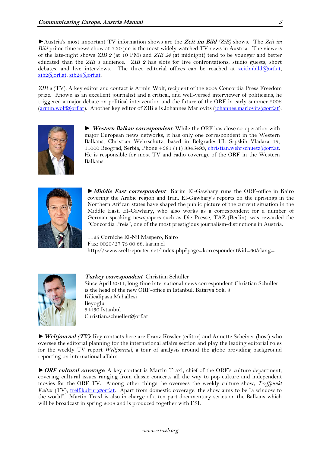►Austria's most important TV information shows are the **Zeit im Bild** *(ZiB)* shows. The *Zeit im Bild* prime time news show at 7.30 pm is the most widely watched TV news in Austria. The viewers of the late-night shows *ZIB 2* (at 10 PM) and *ZIB 24* (at midnight) tend to be younger and better educated than the *ZIB 1* audience. *ZIB 2* has slots for live confrontations, studio guests, short debates, and live interviews. The three editorial offices can be reached at  $zeitimbild@orf.at$ , [zib2@orf.at,](mailto:zib2@orf.at) [zib24@orf.at.](mailto:zib24@orf.at)

*ZIB 2* (TV). A key editor and contact is Armin Wolf, recipient of the 2005 Concordia Press Freedom prize. Known as an excellent journalist and a critical, and well-versed interviewer of politicians, he triggered a major debate on political intervention and the future of the ORF in early summer 2006 [\(armin.wolf@orf.at\)](mailto:armin.wolf@orf.at). Another key editor of ZIB 2 is Johannes Marlovits [\(johannes.marlovits@orf.at\)](mailto:johannes.marlovits@orf.at).



► **Western Balkan correspondent**: While the ORF has close co-operation with major European news networks, it has only one correspondent in the Western Balkans, Christian Wehrschütz, based in Belgrade: Ul. Srpskih Vladara 15, 11000 Beograd, Serbia, Phone +381 (11) 3345493, [christian.wehrschuetz@orf.at.](mailto:christian.wehrschuetz@orf.at) He is responsible for most TV and radio coverage of the ORF in the Western Balkans.



►**Middle East correspondent** Karim El-Gawhary runs the ORF-office in Kairo covering the Arabic region and Iran. El-Gawhary's reports on the uprisings in the Northern African states have shaped the public picture of the current situation in the Middle East. El-Gawhary, who also works as a correspondent for a number of German speaking newspapers such as Die Presse, TAZ (Berlin), was rewarded the "Concordia Preis", one of the most prestigious journalism-distinctions in Austria.

1125 Corniche El-Nil Maspero, Kairo Fax: 0020/27 73 00 68. karim.el http://www.weltreporter.net/index.php?page=korrespondent&id=60&lang=



**Turkey correspondent** [Christian Schüller](javascript:go() Since April 2011, long time international news correspondent Christian Schüller is the head of the new ORF-office in Istanbul: Batarya Sok. 3 Kilicalipasa Mahallesi Beyoglu 34430 Istanbul Christian.schueller@orf.at

►**Weltjournal (TV)**: Key contacts here are Franz Kössler (editor) and Annette Scheiner (host) who oversee the editorial planning for the international affairs section and play the leading editorial roles for the weekly TV report *Weltjournal*, a tour of analysis around the globe providing background reporting on international affairs.

►**ORF cultural coverage**: A key contact is Martin Traxl, chief of the ORF's culture department, covering cultural issues ranging from classic concerts all the way to pop culture and independent movies for the ORF TV. Among other things, he oversees the weekly culture show, *Treffpunkt Kultur* (TV), *treff.kultur@orf.at.* Apart from domestic coverage, the show aims to be "a window to the world". Martin Traxl is also in charge of a ten part documentary series on the Balkans which will be broadcast in spring 2008 and is produced together with ESI.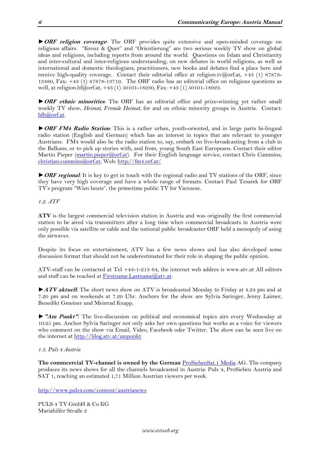►**ORF religion coverage**: The ORF provides quite extensive and open-minded coverage on religious affairs. "Kreuz & Quer" and "Orientierung" are two serious weekly TV show on global ideas and religions, including reports from around the world. Questions on Islam and Christianity and inter-cultural and inter-religious understanding, on new debates in world religions, as well as international and domestic theologians, practitioners, new books and debates find a place here and receive high-quality coverage. Contact their editorial office at [religion.tv@orf.at,](mailto:religion.tv@orf.at) +43 (1) 87878-13480, Fax: +43 (1) 87878-13719. The ORF radio has an editorial office on religious questions as well, at religion.hf $\hat{a}$ orf.at, +43 (1) 50101-18230, Fax: +43 (1) 50101-18923.

►**ORF ethnic minorities**: The ORF has an editorial office and prize-winning yet rather small weekly TV show, *Heimat, Fremde Heimat*, for and on ethnic minority groups in Austria. Contact: [hfh@orf.at.](mailto:hfh@orf.at)

►**ORF FM4 Radio Station**: This is a rather urban, youth-oriented, and in large parts bi-lingual radio station (English and German) which has an interest in topics that are relevant to younger Austrians. FM4 would also be the radio station to, say, embark on live-broadcasting from a club in the Balkans, or to pick up stories with, and from, young South East Europeans. Contact their editor Martin Pieper [\(martin.pieper@orf.at\)](mailto:martin.pieper@orf.at). For their English language service, contact Chris Cummins, [christian.cummins@orf.at,](mailto:christian.cummins@orf.at) Web[: http://fm4.orf.at/](http://fm4.orf.at/)

►**ORF regional**: It is key to get in touch with the regional radio and TV stations of the ORF, since they have very high coverage and have a whole range of formats. Contact Paul Tesarek for ORF TV's program "Wien heute", the primetime public TV for Viennese.

<span id="page-5-0"></span>*1.2. ATV*

**ATV** is the largest commercial television station in Austria and was originally the first commercial station to be aired via transmitters after a long time when commercial broadcasts in Austria were only possible via satellite or cable and the national public broadcaster ORF held a monopoly of using the airwaves.

Despite its focus on entertainment, ATV has a few news shows and has also developed some discussion format that should not be underestimated for their role in shaping the public opinion.

ATV-staff can be contacted at Tel +43-1-213 64, the internet web addres is www.atv.at All editors and staff can be reached at Firstname. Lastname $@$ atv.at.

►**ATV aktuell**: The short news show on ATV is broadcasted Monday to Friday at 4.24 pm and at 7.20 pm and on weekends at 7.20 Uhr. Anchors for the show are Sylvia Saringer, Jenny Laimer, Benedikt Gmeiner und Meinrad Knapp.

►**"Am Punkt"**: The live-discussion on political and economical topics airs every Wednesday at 10:25 pm. Anchor Sylvia Saringer not only asks her own questions but works as a voice for viewers who comment on the show via Email, Video, Facebook oder Twitter. The show can be seen live on the internet at<http://blog.atv.at/ampunkt>

# <span id="page-5-1"></span>*1.3. Puls 4 Austria*

**The commcercial TV-channel is owned by the German** [ProSiebenSat.1 Media](http://de.wikipedia.org/wiki/ProSiebenSat.1_Media) AG. The company produces its news shows for all the channels broadcasted in Austria: Puls 4, ProSieben Austria and SAT 1, reaching an estimated 1,71 Million Austrian viewers per week.

<http://www.puls4.com/content/austrianews>

PULS 4 TV GmbH & Co KG Mariahilfer Straße 2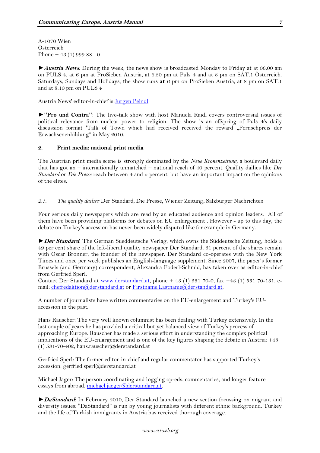A-1070 Wien Österreich Phone + 43 (1) 999 88 - 0

►**Austria News**: During the week, the news show is broadcasted Monday to Friday at at 06:00 am on PULS 4, at 6 pm at ProSieben Austria, at 6.30 pm at Puls 4 and at 8 pm on SAT.1 Österreich. Saturdays, Sundays and Holidays, the show runs **at** 6 pm on ProSieben Austria, at 8 pm on SAT.1 and at 8.10 pm on PULS 4

Austria News' editor-in-chief is [Jürgen Peindl](http://www.puls4.com/content/austrianews/Juergen-Peindl/artikel/5926)

►**"Pro und Contra"**: The live-talk show with host Manuela Raidl covers controversial issues of political relevance from nuclear power to religion. The show is an offspring of Puls 4's daily discussion format 'Talk of Town which had received received the reward "Fernsehpreis der Erwachsenenbildung" in May 2010.

#### <span id="page-6-0"></span>**2. Print media: national print media**

The Austrian print media scene is strongly dominated by the *Neue Kronenzeitung*, a boulevard daily that has got an – internationally unmatched – national reach of 40 percent. Quality dailies like *Der Standard* or *Die Presse* reach between 4 and 5 percent, but have an important impact on the opinions of the elites.

<span id="page-6-1"></span>*2.1. The quality dailies:* Der Standard*,* Die Presse*,* Wiener Zeitung, Salzburger Nachrichten

Four serious daily newspapers which are read by an educated audience and opinion leaders. All of them have been providing platforms for debates on EU enlargement . However - up to this day, the debate on Turkey's accession has never been widely disputed like for example in Germany.

►**Der Standard**: The German Sueddeutsche Verlag, which owns the Süddeutsche Zeitung, holds a 49 per cent share of the left-liberal quality newspaper Der Standard. 51 percent of the shares remain with Oscar Bronner, the founder of the newspaper. Der Standard co-operates with the New York Times and once per week publishes an English-language supplement. Since 2007, the paper's former Brussels (and Germany) correspondent, Alexandra Föderl-Schmid, has taken over as editor-in-chief from Gerfried Sperl.

Contact Der Standard at [www.derstandard.at,](http://www.derstandard.at/) phone + 43 (1) 531 70-0, fax +43 (1) 531 70-131, email: [chefredaktion@derstandard.at](mailto:chefredaktion@derstandard.at) or [Firstname.Lastname@derstandard.at.](mailto:Firstname.Lastname@derstandard.at)

A number of journalists have written commentaries on the EU-enlargement and Turkey's EUaccession in the past.

Hans Rauscher: The very well known columnist has been dealing with Turkey extensively. In the last couple of years he has provided a critical but yet balanced view of Turkey's process of approaching Europe. Rauscher has made a serious effort in understanding the complex political implications of the EU-enlargement and is one of the key figures shaping the debate in Austria: +43 (1) 531-70-402, hans.rauscher@derstandard.at

Gerfried Sperl: The former editor-in-chief and regular commentator has supported Turkey's accession. gerfried.sperl@derstandard.at

Michael Jäger: The person coordinating and logging op-eds, commentaries, and longer feature essays from abroad. [michael.jaeger@derstandard.at.](mailto:michael.jaeger@derstandard.at)

►**DaStandard**: In February 2010, Der Standard launched a new section focussing on migrant and diversity issues: "DaStandard" is run by young journalists with different ethnic background. Turkey and the life of Turkish immigrants in Austria has received thorough coverage.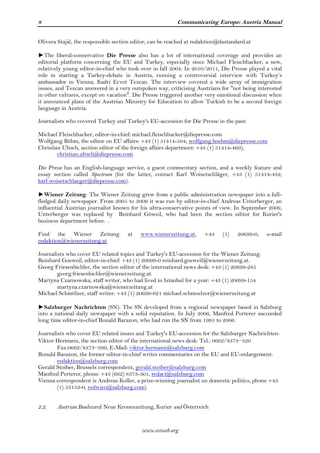Olivera Stajić, the responsible section editor, can be reached at redaktion@dastandard.at

►The liberal-conservative **Die Presse** also has a lot of international coverage and provides an editorial platform concerning the EU and Turkey, especially since Michael Fleischhacker, a new, relatively young editor-in-chief who took over in fall 2004. In 2010/2011, Die Presse played a vital role in starting a Turkey-debate in Austria, running a controversial interview with Turkey's ambassador in Vienna, Kadri Ecvet Tezcan. The interview covered a wide array of immigration issues, and Tezcan answered in a very outspoken way, criticising Austrians for "not being interested in other cultures, except on vacation". Die Presse triggered another very emotional discussion when it announced plans of the Austrian Ministry for Education to allow Turkish to be a second foreign language in Austria.

Journalists who covered Turkey and Turkey's EU-accession for Die Presse in the past:

Michael Fleischhacker, editor-in-chief: michael.fleischhacker@diepresse.com Wolfgang Böhm, the editor on EU affairs: +43 (1) 51414-504, [wolfgang.boehm@diepresse.com](mailto:wolfgang.boehm@diepresse.com) Christian Ultsch, section editor of the foreign affairs department: +43 (1) 51414-469), [christian.ultsch@diepresse.com](mailto:christian.ultsch@diepresse.com) 

*Die Presse* has an English-language service, a guest commentary section, and a weekly feature and essay section called *Spectrum* (for the latter, contact Karl Woisetschläger, +43 (1) 51414-432, [karl.woisetschlaeger@diepresse.com\)](mailto:karl.woisetschlaeger@diepresse.com).

►**Wiener Zeitung**: The Wiener Zeitung grew from a public administration newspaper into a fullfledged daily newspaper. From 2005 to 2009 it was run by editor-in-chief Andreas Unterberger, an influential Austrian journalist known for his ultra-conservative points of view. In September 2009, Unterberger was replaced by Reinhard Göweil, who had been the section editor for Kurier's business department before. .

Find the Wiener Zeitung at [www.wienerzeitung.at,](http://www.wienerzeitung.at/) +43 (1) 20699-0, e-mail [redaktion@wienerzeitung.at](mailto:redaktion@wienerzeitung.at)

Journalists who cover EU related topics and Turkey's EU-accession for the Wiener Zeitung: Reinhard Goeweil, editor-in-chief: +43 (1) 20699-0 reinhard.goeweil@wienerzeitung.at. Georg Friesenbichler, the section editor of the international news desk: +43 (1) 20699-285 georg.friesenbichler@wienerzeitung.at.

Martyna Czarnowska, staff writer, who had lived in Istanbul for a year: +43 (1) 20699-154 martyna.czarnowska@wienerzeitung.at

Michael Schmölzer, staff writer: +43 (1) 20699-621 michael.schmoelzer@wienerzeitung.at

►**Salzburger Nachrichten** (SN): The SN developed from a regional newspaper based in Salzburg into a national daily newspaper with a solid reputation. In July 2006, [Manfred Perterer](http://de.wikipedia.org/wiki/Manfred_Perterer) succeeded long time editor-in-chief [Ronald Barazon,](http://de.wikipedia.org/wiki/Ronald_Barazon) who had run the SN from 1995 to 2006.

Journalists who cover EU related issues and Turkey's EU-accession for the Salzburger Nachrichten: Viktor Hermann, the section editor of the international news desk: Tel.: 0662/8373−320

Fax:0662/8373−399, E-Mail: [viktor.hermann@salzburg.com](mailto:viktor.hermann@salzburg.com)

Ronald Barazon, the former editor-in-chief writes commentaries on the EU and EU-enlargement: [redaktion@salzburg.com](mailto:redaktion@salzburg.com)

- Gerald Stoiber, Brussels correspondent, [gerald.stoiber@salzburg.com](mailto:gerald.stoiber@salzburg.com)
- Manfred Perterer, phone: +43 (662) 8373-301, [redact@salzburg.com](mailto:redact@salzburg.com)

Vienna correspondent is Andreas Koller, a prize-winning journalist on domestic politics, phone +43 (1) 53153-0,  $reduien@salzburg.com$ ).

<span id="page-7-0"></span>*2.2. Austrian Boulevard:* Neue Kronenzeitung*,* Kurier *and* Österreich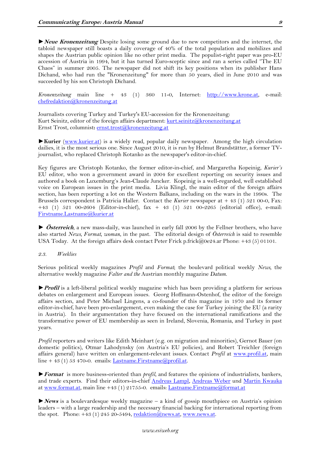►**Neue Kronenzeitung** Despite losing some ground due to new competitors and the internet, the tabloid newspaper still boasts a daily coverage of 40% of the total population and mobilizes and shapes the Austrian public opinion like no other print media. The populist-right paper was pro-EU accession of Austria in 1994, but it has turned Euro-sceptic since and ran a series called "The EU Chaos" in summer 2005. The newspaper did not shift its key positions when its publisher Hans Dichand, who had run the "Kronenzeitung" for more than 50 years, died in June 2010 and was succeeded by his son Christoph Dichand.

*Kronenzeitung* main line + 43 (1) 360 11-0, Internet: [http://www.krone.at,](http://www.krone.at/) e-mail: [chefredaktion@kronenzeitung.at](mailto:chefredaktion@kronenzeitung.at)

Journalists covering Turkey and Turkey's EU-accession for the Kronenzeitung: Kurt Seinitz, editor of the foreign affairs department: [kurt.seinitz@kronenzeitung.at](mailto:kurt.seinitz@kronenzeitung.at) Ernst Trost, columnist**:** [ernst.trost@kronenzeitung.at](mailto:ernst.trost@kronenzeitung.at)

►**Kurier** [\(www.kurier.at\)](http://www.kurier.at/) is a widely read, popular daily newspaper. Among the high circulation dailies, it is the most serious one. Since August 2010, it is run by Helmut Brandstätter, a former TVjournalist, who replaced Christoph Kotanko as the newspaper's editor-in-chief.

Key figures are Christoph Kotanko, the former editor-in-chief, and Margaretha Kopeinig, *Kurier's* EU editor, who won a government award in 2004 for excellent reporting on security issues and authored a book on Luxemburg's Jean-Claude Juncker. Kopeinig is a well-regarded, well established voice on European issues in the print media. Livia Klingl, the main editor of the foreign affairs section, has been reporting a lot on the Western Balkans, including on the wars in the 1990s. The Brussels correspondent is Patricia Haller. Contact the *Kurier* newspaper at + 43 (1) 521 00-0, Fax: +43 (1) 521 00-2604 (Editor-in-chief), fax + 43 (1) 521 00-2265 (editorial office), e-mail: [Firstname.Lastname@kurier.at](mailto:Firstname.Lastname@kurier.at)

► **Österreich**, a new mass-daily, was launched in early fall 2006 by the Fellner brothers, who have also started *News, Format, woman*, in the past. The editorial design of *Österreich* is said to resemble USA Today. At the foreign affairs desk contact Peter Frick p.frick@0e24.ar Phone: +43 (5) 01101.

#### <span id="page-8-0"></span>*2.3. Weeklies*

Serious political weekly magazines *Profil* and *Format*; the boulevard political weekly *News,* the alternative weekly magazine *Falter and the* Austrian monthly magazine *Datum.*

►**Profil** is a left-liberal political weekly magazine which has been providing a platform for serious debates on enlargement and European issues. Georg Hoffmann-Ostenhof, the editor of the foreign affairs section, and Peter Michael Lingens, a co-founder of this magazine in 1970 and its former editor-in-chief, have been pro-enlargement, even making the case for Turkey joining the EU (a rarity in Austria). In their argumentation they have focused on the international ramifications and the transformative power of EU membership as seen in Ireland, Slovenia, Romania, and Turkey in past years.

*Profil* reporters and writers like Edith Meinhart (e.g. on migration and minorities), Gernot Bauer (on domestic politics), Otmar Lahodynsky (on Austria's EU policies), and Robert Treichler (foreign affairs general) have written on enlargement-relevant issues. Contact *Profil* at [www.profil.at,](http://www.profil.at/) main line + 43 (1) 53 470-0. emails: Lastname. Firstname@profil.at.

►**Format** is more business-oriented than *profil*, and features the opinions of industrialists, bankers, and trade experts. Find their editors-in-chief [Andreas Lampl,](http://de.wikipedia.org/w/index.php?title=Andreas_Lampl&action=edit&redlink=1) [Andreas Weber](http://de.wikipedia.org/wiki/Andreas_Weber) und [Martin Kwauka](http://de.wikipedia.org/w/index.php?title=Martin_Kwauka&action=edit&redlink=1) at [www.format.at,](http://www.format.at/) main line +43 (1) 21755-0. emails: [Lastname.Firstname@format.at](mailto:Lastname.Firstname@format.at)

►**News** is a boulevardesque weekly magazine – a kind of gossip mouthpiece on Austria's opinion leaders – with a large readership and the necessary financial backing for international reporting from the spot. Phone:  $+43$  (1) 245 20-5494, [redaktion@news.at,](mailto:redaktion@news.at) [www.news.at.](http://www.news.at/)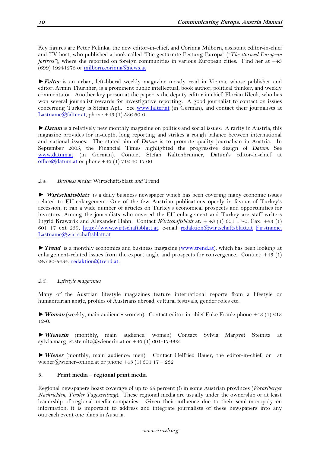Key figures are Peter Pelinka, the new editor-in-chief, and Corinna Milborn, assistant editor-in-chief and TV-host, who published a book called "Die gestürmte Festung Europa" ("*The stormed European fortress"*), where she reported on foreign communities in various European cities. Find her at +43  $(699)$  19241273 or [milborn.corinna@news.at](mailto:milborn.corinna@news.at)

►**Falter** is an urban, left-liberal weekly magazine mostly read in Vienna, whose publisher and editor, Armin Thurnher, is a prominent public intellectual, book author, political thinker, and weekly commentator. Another key person at the paper is the deputy editor in chief, Florian Klenk, who has won several journalist rewards for investigative reporting. A good journalist to contact on issues concerning Turkey is Stefan Apfl. See [www.falter.at](http://www.falter.at/) (in German), and contact their journalists at Lastname $@$ falter.at, phone +43 (1) 536 60-0.

►**Datum** is a relatively new monthly magazine on politics and social issues. A rarity in Austria, this magazine provides for in-depth, long reporting and strikes a rough balance between international and national issues. The stated aim of *Datum* is to promote quality journalism in Austria. In September 2005, the Financial Times highlighted the progressive design of *Datum.* See [www.datum.at](http://www.datum.at/) (in German). Contact Stefan Kaltenbrunner, Datum's editor-in-chief at [office@datum.at](mailto:office@datum.at) or phone +43 (1) 712 40 17 00

# <span id="page-9-0"></span>*2.4. Business media:* Wirtschaftsblatt *and* Trend

► **Wirtschaftsblatt** is a daily business newspaper which has been covering many economic issues related to EU-enlargement. One of the few Austrian publications openly in favour of Turkey's accession, it ran a wide number of articles on Turkey's economical prospects and opportunities for investors. Among the journalists who covered the EU-enlargement and Turkey are staff writers Ingrid Krawarik and Alexander Hahn. Contact *Wirtschaftsblatt* at: + 43 (1) 601 17-0, Fax: +43 (1) 601 17 ext 259, [http://www.wirtschaftsblatt.at,](http://www.wirtschaftsblatt.at/) e-mail [redaktion@wirtschaftsblatt.at](mailto:redaktion@wirtschaftsblatt.at) [Firstname.](mailto:Lastname.Firstname@format.at) [Lastname@wirtschaftsblatt.at](mailto:Lastname.Firstname@format.at)

►**Trend** is a monthly economics and business magazine [\(www.trend.at\)](http://www.trend.at/), which has been looking at enlargement-related issues from the export angle and prospects for convergence. Contact: +43 (1) 245 20-5494, [redaktion@trend.at.](mailto:redaktion@trend.at)

# <span id="page-9-1"></span>*2.5. Lifestyle magazines*

Many of the Austrian lifestyle magazines feature international reports from a lifestyle or humanitarian angle, profiles of Austrians abroad, cultural festivals, gender roles etc.

►**Woman** (weekly, main audience: women). Contact editor-in-chief Euke Frank: phone +43 (1) 213 12-0.

►**Wienerin** (monthly, main audience: women) Contact Sylvia Margret Steinitz at sylvia.margret.steinitz@wienerin.at or  $+43$  (1) 601-17-993

►**Wiener** (monthly, main audience: men). Contact Helfried Bauer, the editor-in-chief, or at wiener@wiener-online.at or phone +43 (1) 601 17 – 232

# <span id="page-9-2"></span>**3. Print media – regional print media**

Regional newspapers boast coverage of up to 65 percent (!) in some Austrian provinces (*Vorarlberger Nachrichten*, *Tiroler Tageszeitung*). These regional media are usually under the ownership or at least leadership of regional media companies. Given their influence due to their semi-monopoly on information, it is important to address and integrate journalists of these newspapers into any outreach event one plans in Austria.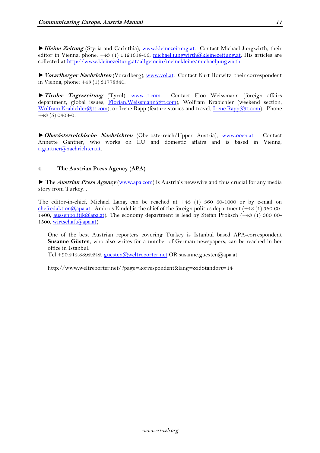►**Kleine Zeitung** (Styria and Carinthia), [www.kleinezeitung.at.](http://www.kleinezeitung.at/) Contact Michael Jungwirth, their editor in Vienna, phone: +43 (1) 5121618-56, [michael.jungwirth@kleinezeitung.at;](mailto:michael.jungwirth@kleinezeitung.at) His articles are collected at [http://www.kleinezeitung.at/allgemein/meinekleine/michaeljungwirth.](http://www.kleinezeitung.at/allgemein/meinekleine/michaeljungwirth)

►**Vorarlberger Nachrichten** (Vorarlberg), [www.vol.at.](http://www.vol.at/) Contact Kurt Horwitz, their correspondent in Vienna, phone: +43 (1) 31778340.

►**Tiroler Tageszeitung** (Tyrol), [www.tt.com.](http://www.tt.com/) Contact Floo Weissmann (foreign affairs department, global issues, [Florian.Weissmann@tt.com\)](mailto:Florian.Weissmann@tt.com), Wolfram Krabichler (weekend section, [Wolfram.Krabichler@tt.com\)](mailto:Wolfram.Krabichler@tt.com), or Irene Rapp (feature stories and travel, [Irene.Rapp@tt.com\)](mailto:Irene.Rapp@tt.com). Phone  $+43(5)0403-0.$ 

►**Oberösterreichische Nachrichten** (Oberösterreich/Upper Austria), [www.ooen.at.](http://www.ooen.at/) Contact Annette Gantner, who works on EU and domestic affairs and is based in Vienna, [a.gantner@nachrichten.at.](mailto:a.gantner@nachrichten.at)

# <span id="page-10-0"></span>**4. The Austrian Press Agency (APA)**

► The **Austrian Press Agency** [\(www.apa.com](http://www.apa.com/)) is Austria's newswire and thus crucial for any media story from Turkey. .

The editor-in-chief, Michael Lang, can be reached at +43 (1) 360 60-1000 or by e-mail on [chefredaktion@apa.at.](mailto:chefredaktion@apa.at) Ambros Kindel is the chief of the foreign politics department (+43 (1) 360 601400, [aussenpolitik@apa.at\)](mailto:aussenpolitik@apa.at). The economy department is lead by Stefan Proksch (+43 (1) 360 60-1500, [wirtschaft@apa.at\)](mailto:wirtschaft@apa.at).

One of the best Austrian reporters covering Turkey is Istanbul based APA-correspondent **Susanne Güsten**, who also writes for a number of German newspapers, can be reached in her office in Istanbul:

Tel +90.212.8892.242, [guesten@weltreporter.net](javascript:entschluesselMail(%22103,117,101,115,116,101,110,40,97,116,41,119,101,108,116,114,101,112,111,114,116,101,114,46,110,101,116,%22,%22%22);) OR susanne.guesten@apa.at

http://www.weltreporter.net/?page=korrespondent&lang=&idStandort=14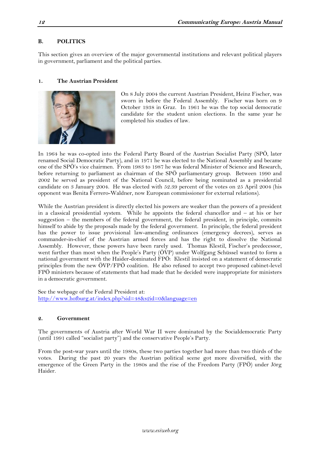# <span id="page-11-0"></span>**B. POLITICS**

This section gives an overview of the major governmental institutions and relevant political players in government, parliament and the political parties.

#### <span id="page-11-1"></span>**1. The Austrian President**



On 8 July 2004 the current Austrian President, Heinz Fischer, was sworn in before the Federal Assembly. Fischer was born on 9 October 1938 in Graz. In 1961 he was the top social democratic candidate for the student union elections. In the same year he completed his studies of law.

In 1964 he was co-opted into the Federal Party Board of the Austrian Socialist Party (SPÖ, later renamed Social Democratic Party), and in 1971 he was elected to the National Assembly and became one of the SPÖ's vice chairmen. From 1983 to 1987 he was federal Minister of Science and Research, before returning to parliament as chairman of the SPÖ parliamentary group. Between 1990 and 2002 he served as president of the National Council, before being nominated as a presidential candidate on 3 January 2004. He was elected with 52.39 percent of the votes on 25 April 2004 (his opponent was Benita Ferrero-Waldner, now European commissioner for external relations).

While the Austrian president is directly elected his powers are weaker than the powers of a president in a classical presidential system. While he appoints the federal chancellor and – at his or her suggestion – the members of the federal government, the federal president, in principle, commits himself to abide by the proposals made by the federal government. In principle, the federal president has the power to issue provisional law-amending ordinances (emergency decrees), serves as commander-in-chief of the Austrian armed forces and has the right to dissolve the National Assembly. However, these powers have been rarely used. Thomas Klestil, Fischer's predecessor, went further than most when the People's Party (ÖVP) under Wolfgang Schüssel wanted to form a national government with the Haider-dominated FPÖ: Klestil insisted on a statement of democratic principles from the new ÖVP/FPÖ coalition. He also refused to accept two proposed cabinet-level FPÖ ministers because of statements that had made that he decided were inappropriate for ministers in a democratic government.

See the webpage of the Federal President at: <http://www.hofburg.at/index.php?sid=48&s2id=0&language=en>

#### <span id="page-11-2"></span>**2. Government**

The governments of Austria after World War II were dominated by the Socialdemocratic Party (until 1991 called "socialist party") and the conservative People's Party.

From the post-war years until the 1980s, these two parties together had more than two thirds of the votes. During the past 20 years the Austrian political scene got more diversified, with the emergence of the Green Party in the 1980s and the rise of the Freedom Party (FPÖ) under Jörg Haider.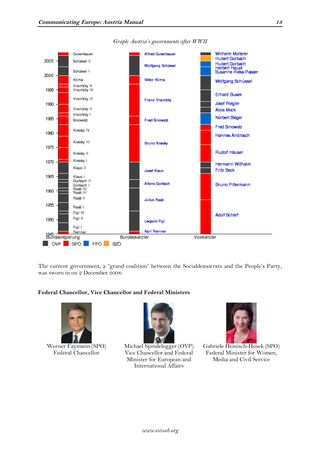

*Graph: Austria's governments after WWII*

The current government, a "grand coalition" between the Socialdemocrats and the People's Party, was sworn in on 2 December 2008:

#### **Federal Chancellor, Vice Chancellor and Federal Ministers**



Werner Faymann (SPO) Federal Chancellor



Michael Spindelegger (OVP) Vice Chancellor and Federal Minister for European and International Affairs



Gabriele Heinisch-Hosek (SPO) Federal Minister for Women, Media and Civil Service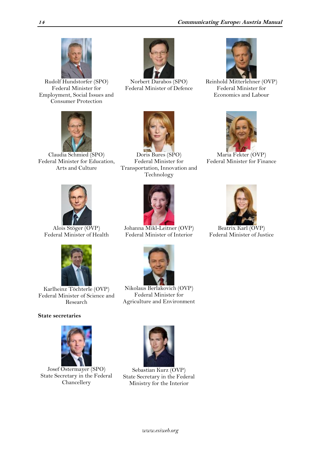

Rudolf Hundstorfer (SPO) Federal Minister for Employment, Social Issues and Consumer Protection



Norbert Darabos (SPO) Federal Minister of Defence



Reinhold Mitterlehner (OVP) Federal Minister for Economics and Labour



Claudia Schmied (SPO) Federal Minister for Education, Arts and Culture



Doris Bures (SPO) Federal Minister for Transportation, Innovation and Technology



Maria Fekter (OVP) Federal Minister for Finance



Alois Stöger (OVP) Federal Minister of Health



Johanna Mikl-Leitner (OVP) Federal Minister of Interior



Beatrix Karl (OVP) Federal Minister of Justice



Karlheinz Töchterle (OVP) Federal Minister of Science and Research

# **State secretaries**



Josef Ostermayer (SPO) State Secretary in the Federal Chancellery



Nikolaus Berlakovich (OVP) Federal Minister for Agriculture and Environment



Sebastian Kurz (OVP) State Secretary in the Federal Ministry for the Interior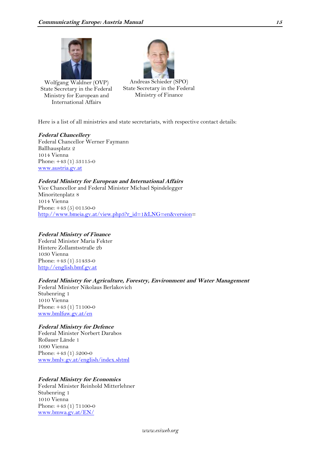

Wolfgang Waldner (OVP) State Secretary in the Federal Ministry for European and International Affairs



Andreas Schieder (SPO) State Secretary in the Federal Ministry of Finance

Here is a list of all ministries and state secretariats, with respective contact details:

#### **Federal Chancellery**

Federal Chancellor Werner Faymann Ballhausplatz 2 1014 Vienna Phone: +43 (1) 53115-0 [www.austria.gv.at](http://www.austria.gv.at/)

#### **Federal Ministry for European and International Affairs**

Vice Chancellor and Federal Minister Michael Spindelegger Minoritenplatz 8 1014 Vienna Phone: +43 (5) 01150-0 [http://www.bmeia.gv.at/view.php3?r\\_id=1&LNG=en&version=](http://www.bmeia.gv.at/view.php3?r_id=1&LNG=en&version)

#### **Federal Ministry of Finance**

Federal Minister Maria Fekter Hintere Zollamtsstraße 2b 1030 Vienna Phone: +43 (1) 51433-0 [http://english.bmf.gv.at](http://english.bmf.gv.at/)

#### **Federal Ministry for Agriculture, Forestry, Environment and Water Management**

Federal Minister Nikolaus Berlakovich Stubenring 1 1010 Vienna Phone: +43 (1) 71100-0 [www.bmlfuw.gv.at/en](http://www.bmlfuw.gv.at/en)

#### **Federal Ministry for Defence**

Federal Minister Norbert Darabos Roßauer Lände 1 1090 Vienna Phone: +43 (1) 5200-0 [www.bmlv.gv.at/english/index.shtml](http://www.bmlv.gv.at/english/index.shtml)

#### **Federal Ministry for Economics**

Federal Minister Reinhold Mitterlehner Stubenring 1 1010 Vienna Phone: +43 (1) 71100-0 [www.bmwa.gv.at/EN/](http://www.bmwa.gv.at/EN/)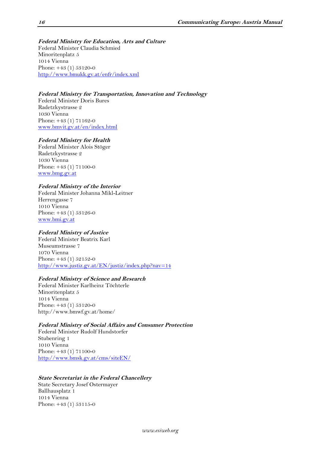**Federal Ministry for Education, Arts and Culture** Federal Minister Claudia Schmied Minoritenplatz 5 1014 Vienna Phone: +43 (1) 53120-0 <http://www.bmukk.gv.at/enfr/index.xml>

### **Federal Ministry for Transportation, Innovation and Technology**

Federal Minister Doris Bures Radetzkystrasse 2 1030 Vienna Phone: +43 (1) 71162-0 [www.bmvit.gv.at/en/index.html](http://www.bmvit.gv.at/en/index.html)

# **Federal Ministry for Health**

Federal Minister Alois Stöger Radetzkystrasse 2 1030 Vienna Phone: +43 (1) 71100-0 [www.bmg.gv.at](http://www.bmgfj.gv.at/)

# **Federal Ministry of the Interior**

Federal Minister Johanna Mikl-Leitner Herrengasse 7 1010 Vienna Phone: +43 (1) 53126-0 [www.bmi.gv.at](http://www.bmi.gv.at/)

# **Federal Ministry of Justice**

Federal Minister Beatrix Karl Museumstrasse 7 1070 Vienna Phone: +43 (1) 52152-0 <http://www.justiz.gv.at/EN/justiz/index.php?nav=14>

#### **Federal Ministry of Science and Research**

Federal Minister Karlheinz Töchterle Minoritenplatz 5 1014 Vienna Phone: +43 (1) 53120-0 http://www.bmwf.gv.at/home/

#### **Federal Ministry of Social Affairs and Consumer Protection**

Federal Minister Rudolf Hundstorfer Stubenring 1 1010 Vienna Phone: +43 (1) 71100-0 <http://www.bmsk.gv.at/cms/siteEN/>

#### **State Secretariat in the Federal Chancellery**

State Secretary Josef Ostermayer Ballhausplatz 1 1014 Vienna Phone: +43 (1) 53115-0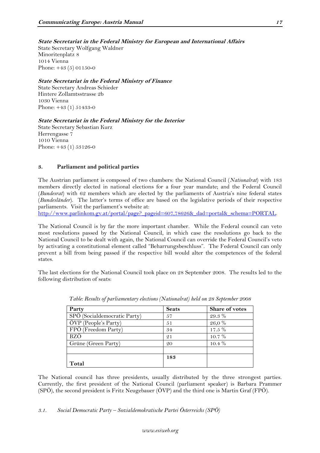# **State Secretariat in the Federal Ministry for European and International Affairs**

State Secretary Wolfgang Waldner Minoritenplatz 8 1014 Vienna Phone: +43 (5) 01150-0

### **State Secretariat in the Federal Ministry of Finance**

State Secretary Andreas Schieder Hintere Zollamtsstrasse 2b 1030 Vienna Phone: +43 (1) 51433-0

# **State Secretariat in the Federal Ministry for the Interior**

State Secretary Sebastian Kurz Herrengasse 7 1010 Vienna Phone: +43 (1) 53126-0

# <span id="page-16-0"></span>**3. Parliament and political parties**

The Austrian parliament is composed of two chambers: the National Council (*Nationalrat*) with 183 members directly elected in national elections for a four year mandate; and the Federal Council (*Bundesrat*) with 62 members which are elected by the parliaments of Austria's nine federal states (*Bundesländer*). The latter's terms of office are based on the legislative periods of their respective parliaments. Visit the parliament's website at:

[http://www.parlinkom.gv.at/portal/page?\\_pageid=607,78626&\\_dad=portal&\\_schema=PORTAL.](http://www.parlinkom.gv.at/portal/page?_pageid=607,78626&_dad=portal&_schema=PORTAL)

The National Council is by far the more important chamber. While the Federal council can veto most resolutions passed by the National Council, in which case the resolutions go back to the National Council to be dealt with again, the National Council can override the Federal Council's veto by activating a constitutional element called "Beharrungsbeschluss". The Federal Council can only prevent a bill from being passed if the respective bill would alter the competences of the federal states.

The last elections for the National Council took place on 28 September 2008. The results led to the following distribution of seats:

| Party                        | <b>Seats</b> | Share of votes |
|------------------------------|--------------|----------------|
| SPÖ (Socialdemocratic Party) | 57           | 29.3 %         |
| ÖVP (People's Party)         | 51           | 26,0%          |
| FPÖ (Freedom Party)          | 34           | $17.5\%$       |
| BZÖ                          | 21           | 10.7 %         |
| Grüne (Green Party)          | 20           | $10.4\%$       |
|                              |              |                |
|                              | 183          |                |
| Total                        |              |                |

*Table: Results of parliamentary elections (Nationalrat) held on 28 September 2008*

The National council has three presidents, usually distributed by the three strongest parties. Currently, the first president of the National Council (parliament speaker) is Barbara Prammer (SPÖ), the second president is Fritz Neugebauer (ÖVP) and the third one is Martin Graf (FPÖ).

<span id="page-16-1"></span>*3.1. Social Democratic Party – Sozialdemokratische Partei Österreichs (SPÖ)*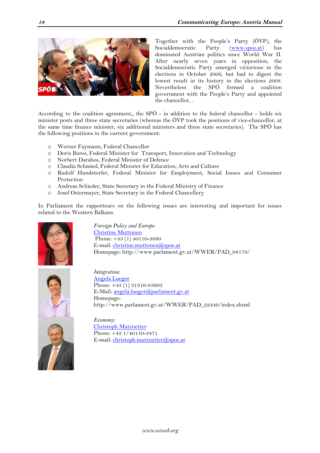

Together with the People's Party (ÖVP), the Socialdemocratic Party [\(www.spoe.at\)](http://www.spoe.at/) has dominated Austrian politics since World War II. After nearly seven years in opposition, the Socialdemocratic Party emerged victorious in the elections in October 2006, but had to digest the lowest result in its history in the elections 2008. Nevertheless the SPÖ formed a coalition government with the People's Party and appointed the chancellor, .

According to the coalition agreement,, the SPÖ - in addition to the federal chancellor - holds six minister posts and three state secretaries (whereas the ÖVP took the positions of vice-chancellor, at the same time finance minister, six additional ministers and three state secretaries). The SPÖ has the following positions in the current government:

- o Werner Faymann, Federal Chancellor
- o Doris Bures, Federal Minister for Transport, Innovation and Technology
- o Norbert Darabos, Federal Minister of Defence
- o Claudia Schmied, Federal Minister for Education, Arts and Culture
- o Rudolf Hundstorfer, Federal Minister for Employment, Social Issues and Consumer Protection
- o Andreas Schieder, State Secretary in the Federal Ministry of Finance
- o Josef Ostermayer, State Secretary in the Federal Chancellery

In Parliament the rapporteurs on the following issues are interesting and important for issues related to the Western Balkans.



*Foreign Policy and Europe:* [Christine Muttonen](http://www.spoe.at/page.php?P=103536) Phone: +43 (1) 40110-3660 E-mail[: christine.muttonen@spoe.at](mailto:christine.muttonen@spoe.at) Homepage: http://www.parlament.gv.at/WWER/PAD\_08179/



*Integration:* [Angela Lueger](http://www.spoe.at/page.php?P=102308) Phone: +43 (1) 31316-83603 E-Mail: [angela.lueger@parlament.gv.at](mailto:angela.lueger@parlament.gv.at) Homepage: http://www.parlament.gv.at/WWER/PAD\_22449/index.shtml



*Economy:* [Christoph Matznetter](http://www.spoe.at/page.php?P=100314) Phone: +43 1/40110-3471 E-mail[: christoph.matznetter@spoe.at](mailto:christoph.matznetter@spoe.at)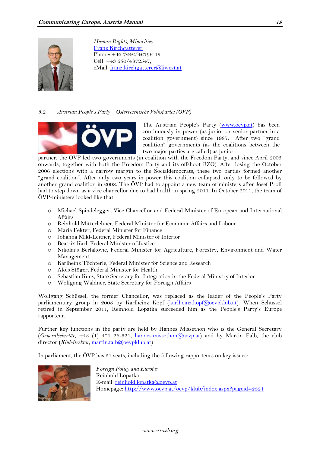

*Human Rights, Minorities* [Franz Kirchgatterer](http://www.spoe.at/online/page.php?P=101096) Phone: +43 7242/46796-15 Cell: +43 650/4872547, eMail: [franz.kirchgatterer@liwest.at](mailto:franz.kirchgatterer@liwest.at)

#### <span id="page-18-0"></span>*3.2. Austrian People's Party – Österreichische Volkspartei (ÖVP)*



The Austrian People's Party ([www.oevp.at\)](http://www.oevp.at/) has been continuously in power (as junior or senior partner in a coalition government) since 1987. After two "grand coalition" governments (as the coalitions between the two major parties are called) as junior

partner, the ÖVP led two governments (in coalition with the Freedom Party, and since April 2005 onwards, together with both the Freedom Party and its offshoot BZÖ). After losing the October 2006 elections with a narrow margin to the Socialdemocrats, these two parties formed another "grand coalition". After only two years in power this coalition collapsed, only to be followed by another grand coalition in 2008. The ÖVP had to appoint a new team of ministers after Josef Pröll had to step down as a vice chancellor due to bad health in spring 2011. In October 2011, the team of ÖVP-ministers looked like that:

- o Michael Spindelegger, Vice Chancellor and Federal Minister of European and International Affairs
- o Reinhold Mitterlehner, Federal Minister for Economic Affairs and Labour
- o Maria Fekter, Federal Minister for Finance
- o Johanna Mikl-Leitner, Federal Minister of Interior
- o Beatrix Karl, Federal Minister of Justice
- o Nikolaus Berlakovic, Federal Minister for Agriculture, Forestry, Environment and Water Management
- o Karlheinz Töchterle, Federal Minister for Science and Research
- o Alois Stöger, Federal Minister for Health
- o Sebastian Kurz, State Secretary for Integration in the Federal Ministry of Interior
- o Wolfgang Waldner, State Secretary for Foreign Affairs

Wolfgang Schüssel, the former Chancellor, was replaced as the leader of the People's Party parliamentary group in 2008 by Karlheinz Kopf [\(karlheinz.kopf@oevpklub.at\)](mailto:karlheinz.kopf@oevpklub.at). When Schüssel retired in September 2011, Reinhold Lopatka succeeded him as the People's Party's Europe rapporteur.

Further key functions in the party are held by Hannes Missethon who is the General Secretary (*Generalsekretär*, +43 (1) 401 26-321, [hannes.missethon@oevp.at\)](mailto:hannes.missethon@oevp.at) and by Martin Falb, the club director (*Klubdirektor*, [martin.falb@oevpklub.at\)](mailto:martin.falb@oevpklub.at)

In parliament, the ÖVP has 51 seats, including the following rapporteurs on key issues:



*Foreign Policy and Europe:* Reinhold Lopatka E-mail: [reinhold.lopatka@oevp.at](mailto:wolfgang.schuessel@oevp.at) Homepage:<http://www.oevp.at/oevp/klub/index.aspx?pageid=2321>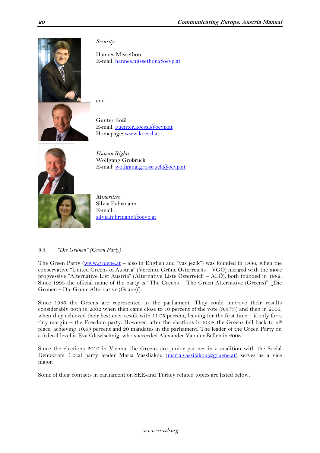

*Security:*

Hannes Missethon E-mail: [hannes.missethon@oevp.at](mailto:hannes.missethon@oevp.at)

and

Günter Kößl E-mail: [guenter.koessl@oevp.at](mailto:guenter.koessl@oevp.at) Homepage: [www.koessl.at](http://www.koessl.at/)



*Human Rights:* Wolfgang Großruck E-mail: [wolfgang.grossruck@oevp.at](mailto:wolfgang.grossruck@oevp.at)

*Minorities:*  Silvia Fuhrmann E-mail: [silvia.fuhrmann@oevp.at](mailto:franz.kirchgatterer@liwest.at)

# <span id="page-19-0"></span>*3.3. "Die Grünen" (Green Party)*

The Green Party [\(www.gruene.at](http://www.gruene.at/) – also in English and "vas jezik") was founded in 1986, when the conservative "United Greens of Austria" (Vereinte Grüne Österreichs – VGÖ) merged with the more progressive "Alternative List Austria" (Alternative Liste Österreich – ALÖ), both founded in 1982. Since 1993 the official name of the party is "The Greens – The Green Alternative (Greens)" [Die Grünen – Die Grüne Alternative (Grüne)].

Since 1986 the Greens are represented in the parliament. They could improve their results considerably both in 2002 when then came close to 10 percent of the vote (9.47%) and then in 2006, when they achieved their best ever result with 11.05 percent, leaving for the first time – if only for a tiny margin – the Freedom party. However, after the elections in 2008 the Greens fell back to  $5<sup>th</sup>$ place, achieving 10,43 percent and 20 mandates in the parliament. The leader of the Green Party on a federal level is Eva Glawischnig, who succeeded Alexander Van der Bellen in 2008.

Since the elections 2010 in Vienna, the Greens are junior partner in a coalition with the Social Democrats. Local party leader Maria Vassliakou [\(maria.vassilakou@gruene.at\)](mailto:maria.vassilakou@gruene.at) serves as a vice major.

Some of their contacts in parliament on SEE-and Turkey related topics are listed below.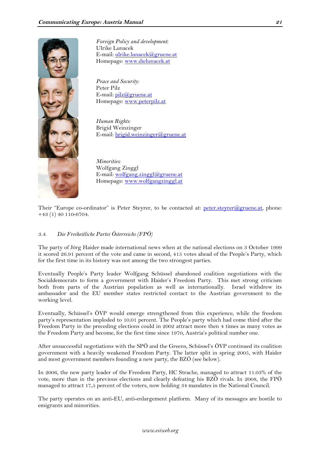

*Foreign Policy and development:* Ulrike Lunacek E-mail: [ulrike.lunacek@gruene.at](mailto:ulrike.lunacek@gruene.at) Homepage: [www.dielunacek.at](http://www.dielunacek.at/)

*Peace and Security:* Peter Pilz E-mail: [pilz@gruene.at](mailto:pilz@gruene.at) Homepage: [www.peterpilz.at](http://www.peterpilz.at/)

*Human Rights:* Brigid Weinzinger E-mail: [brigid.weinzinger@gruene.at](mailto:brigid.weinzinger@gruene.at)

*Minorities:*  Wolfgang Zinggl  $E$ -mail: [wolfgang.zinggl@gruene.at](mailto:wolfgang.zinggl@gruene.at) Homepage: [www.wolfgangzinggl.at](http://www.wolfgangzinggl.at/)

Their "Europe co-ordinator" is Peter Steyrer, to be contacted at: [peter.steyrer@gruene.at,](mailto:peter.steyrer@gruene.at) phone: +43 (1) 40 110-6704.

# <span id="page-20-0"></span>*3.4. Die Freiheitliche Partei Österreichs (FPÖ)*

The party of Jörg Haider made international news when at the national elections on 3 October 1999 it scored 26.91 percent of the vote and came in second, 415 votes ahead of the People's Party, which for the first time in its history was not among the two strongest parties.

Eventually People's Party leader Wolfgang Schüssel abandoned coalition negotiations with the Socialdemocrats to form a government with Haider's Freedom Party. This met strong criticism both from parts of the Austrian population as well as internationally. Israel withdrew its ambassador and the EU member states restricted contact to the Austrian government to the working level.

Eventually, Schüssel's ÖVP would emerge strengthened from this experience, while the freedom party's representation imploded to 10.01 percent. The People's party which had come third after the Freedom Party in the preceding elections could in 2002 attract more then 4 times as many votes as the Freedom Party and become, for the first time since 1970, Austria's political number one.

After unsuccessful negotiations with the SPÖ and the Greens, Schüssel's ÖVP continued its coalition government with a heavily weakened Freedom Party. The latter split in spring 2005, with Haider and most government members founding a new party, the BZÖ (see below).

In 2006, the new party leader of the Freedom Party, HC Strache, managed to attract 11.03% of the vote, more than in the previous elections and clearly defeating his BZÖ rivals. In 2008, the FPÖ managed to attract 17,5 percent of the voters, now holding 34 mandates in the National Council.

The party operates on an anti-EU, anti-enlargement platform. Many of its messages are hostile to emigrants and minorities.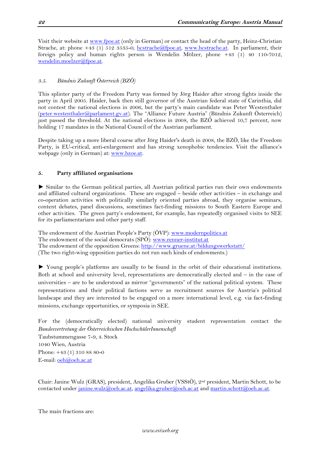Visit their website at [www.fpoe.at](http://www.fpoe.at/) (only in German) or contact the head of the party, Heinz-Christian Strache, at: phone +43 (1) 512 3535-0, [hcstrache@fpoe.at,](mailto:hcstrache@fpoe.at) [www.hcstrache.at.](http://www.hcstrache.at/) In parliament, their foreign policy and human rights person is Wendelin Mölzer, phone +43 (1) 40 110-7012, [wendelin.moelzer@fpoe.at.](mailto:wendelin.moelzer@fpoe.at)

# <span id="page-21-0"></span>*3.5. Bündnis Zukunft Österreic[h \(BZÖ\)](http://www.ots.at/liste.php?q=(EMITTENT=FP%D6+Bundesparteileitung))*

This splinter party of the Freedom Party was formed by Jörg Haider after strong fights inside the party in April 2005. Haider, back then still governor of the Austrian federal state of Carinthia, did not contest the national elections in 2006, but the party's main candidate was Peter Westenthaler [\(peter.westenthaler@parlament.gv.at](mailto:peter.westenthaler@parlament.gv.at)). The "Alliance Future Austria" (Bündnis Zukunft Österreich) just passed the threshold. At the national elections in 2008, the BZÖ achieved 10,7 percent, now holding 17 mandates in the National Council of the Austrian parliament.

Despite taking up a more liberal course after Jörg Haider's death in 2008, the BZÖ, like the Freedom Party, is EU-critical, anti-enlargement and has strong xenophobic tendencies. Visit the alliance's webpage (only in German) at: [www.bzoe.at.](http://www.bzoe.at/)

# <span id="page-21-1"></span>**5. Party affiliated organisations**

► Similar to the German political parties, all Austrian political parties run their own endowments and affiliated cultural organizations. These are engaged – beside other activities – in exchange and co-operation activities with politically similarly oriented parties abroad, they organise seminars, content debates, panel discussions, sometimes fact-finding missions to South Eastern Europe and other activities. The green party's endowment, for example, has repeatedly organised visits to SEE for its parliamentarians and other party staff.

The endowment of the Austrian People's Party (ÖVP): [www.modernpolitics.at](http://www.modernpolitics.at/) The endowment of the social democrats (SPÖ): [www.renner-institut.at](http://www.renner-institut.at/) The endowment of the opposition Greens:<http://www.gruene.at/bildungswerkstatt/> (The two right-wing opposition parties do not run such kinds of endowments.)

► Young people's platforms are usually to be found in the orbit of their educational institutions. Both at school and university level, representations are democratically elected and – in the case of universities – are to be understood as mirror "governments" of the national political system. These representations and their political factions serve as recruitment sources for Austria's political landscape and they are interested to be engaged on a more international level, e.g. via fact-finding missions, exchange opportunities, or symposia in SEE.

For the (democratically elected) national university student representation contact the *Bundesvertretung der Österreichischen HochschülerInnenschaft* Taubstummengasse 7-9, 4. Stock 1040 Wien, Austria Phone: +43 (1) 310 88 80-0 E-mail: [oeh@oeh.ac.at](mailto:oeh@oeh.ac.at) 

Chair: Janine Wulz (GRAS), president, Angelika Gruber (VSStÖ), 2nd president, Martin Schott, to be contacted under [janine.wulz@oeh.ac.at,](mailto:hartwig.brandl@oeh.ac.at) [angelika.gruber@oeh.ac.at](mailto:lisa.schindler@oeh.ac.at) and [martin.schott@oeh.ac.at.](mailto:verena.czaby@oeh.ac.at)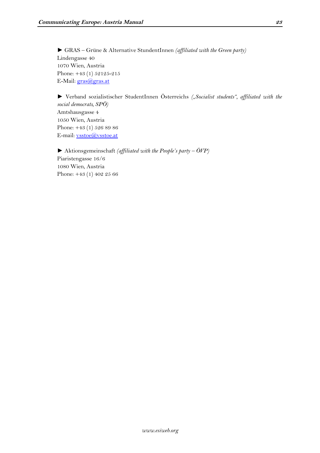► GRAS – Grüne & Alternative StundentInnen *(affiliated with the Green party)*  Lindengasse 40 1070 Wien, Austria Phone: +43 (1) 52125-215 E-Mail: [gras@gras.at](http://us.f513.mail.yahoo.com/ym/Compose?To=gras@gras.at&YY=37202&y5beta=yes&y5beta=yes&order=down&sort=date&pos=0&view=a&head=b)

► Verband sozialistischer StudentInnen Österreichs *("Socialist students", affiliated with the social democrats, SPÖ)* Amtshausgasse 4 1050 Wien, Austria Phone: +43 (1) 526 89 86 E-mail: [vsstoe@vsstoe.at](http://us.f513.mail.yahoo.com/ym/Compose?To=vsstoe@vsstoe.at&YY=37202&y5beta=yes&y5beta=yes&order=down&sort=date&pos=0&view=a&head=b)

► Aktionsgemeinschaft *(affiliated with the People's party – ÖVP)* Piaristengasse 16/6 1080 Wien, Austria Phone: +43 (1) 402 25 66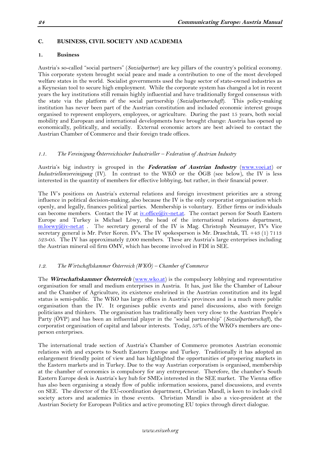### <span id="page-23-0"></span>**C. BUSINESS, CIVIL SOCIETY AND ACADEMIA**

#### <span id="page-23-1"></span>**1. Business**

Austria's so-called "social partners" (*Sozialpartner*) are key pillars of the country's political economy. This corporate system brought social peace and made a contribution to one of the most developed welfare states in the world. Socialist governments used the huge sector of state-owned industries as a Keynesian tool to secure high employment. While the corporate system has changed a lot in recent years the key institutions still remain highly influential and have traditionally forged consensus with the state via the platform of the social partnership (*Sozialpartnerschaft*). This policy-making institution has never been part of the Austrian constitution and included economic interest groups organised to represent employers, employees, or agriculture. During the past 15 years, both social mobility and European and international developments have brought change: Austria has opened up economically, politically, and socially. External economic actors are best advised to contact the Austrian Chamber of Commerce and their foreign trade offices.

#### <span id="page-23-2"></span>*1.1. The Vereinigung Österreichischer Industrieller – Federation of Austrian Industry*

Austria's big industry is grouped in the **Federation of Austrian Industry** [\(www.voei.at\)](http://www.voei.at/) or *Industriellenvereinigung* (IV). In contrast to the WKÖ or the ÖGB (see below), the IV is less interested in the quantity of members for effective lobbying, but rather, in their financial power.

The IV's positions on Austria's external relations and foreign investment priorities are a strong influence in political decision-making, also because the IV is the only corporatist organisation which openly, and legally, finances political parties. Membership is voluntary. Either firms or individuals can become members. Contact the IV at  $iv$ .office@iv-net.at. The contact person for South Eastern Europe and Turkey is Michael Löwy, the head of the international relations department, [m.loewy@iv-net.at](mailto:m.loewy@iv-net.at) . The secretary general of the IV is Mag. Christoph Neumayer, IV's Vice secretary general is Mr. Peter Koren. IV's. The IV spokesperson is Mr. Draschtak, Tl. +43 (1) 7113 523-05. The IV has approximately 2,000 members. These are Austria's large enterprises including the Austrian mineral oil firm OMV, which has become involved in FDI in SEE.

#### <span id="page-23-3"></span>*1.2. The Wirtschaftskammer Österreich (WKÖ) – Chamber of Commerce*

The **Wirtschaftskammer Österreich** [\(www.wko.at\)](http://www.wko.at/) is the compulsory lobbying and representative organisation for small and medium enterprises in Austria. It has, just like the Chamber of Labour and the Chamber of Agriculture, its existence enshrined in the Austrian constitution and its legal status is semi-public. The WKO has large offices in Austria's provinces and is a much more public organisation than the IV. It organises public events and panel discussions, also with foreign politicians and thinkers. The organisation has traditionally been very close to the Austrian People's Party (ÖVP) and has been an influential player in the "social partnership" (*Sozialpartnerschaft*), the corporatist organisation of capital and labour interests. Today, 53% of the WKO's members are oneperson enterprises.

The international trade section of Austria's Chamber of Commerce promotes Austrian economic relations with and exports to South Eastern Europe and Turkey. Traditionally it has adopted an enlargement friendly point of view and has highlighted the opportunities of prospering markets in the Eastern markets and in Turkey. Due to the way Austrian corporatism is organised, membership at the chamber of economics is compulsory for any entrepreneur. Therefore, the chamber's South Eastern Europe desk is Austria's key hub for SMEs interested in the SEE market. The Vienna office has also been organising a steady flow of public information sessions, panel discussions, and events on SEE. The director of the EU-coordination department, Christian Mandl, is keen to include civil society actors and academics in those events. Christian Mandl is also a vice-president at the Austrian Society for European Politics and active promoting EU topics through direct dialogue.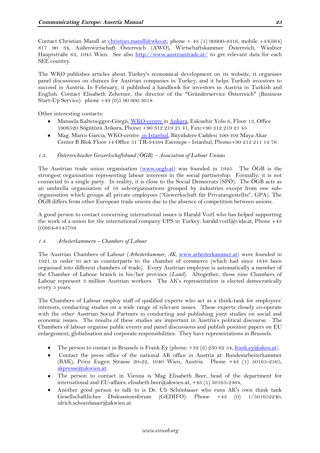Contact Christian Mandl at [christian.mandl@wko.at,](mailto:christian.mandl@wko.at) phone + 43 (5) 90900-4316, mobile +43(664) 817 90 34, Außenwirtschaft Österreich (AWO), Wirtschaftskammer Österreich, Wiedner Hauptstraße 63, 1045 Wien. See also<http://www.austriantrade.at/> to get relevant data for each SEE country.

The WKO publishes articles about Turkey's economical development on its website, it organises panel discussions on chances for Austrian companies in Turkey, and it helps Turkish investors to succeed in Austria. In February, it published a handbook for investors in Austria in Turkish and English. Contact Elisabeth Zehetner, the director of the "Gründerservice Österreich" (Business Start-Up Service): phone +43 (0)5 90 900 3018

Other interesting contacts:

- Manuela Kaltenegger-Görgü, [WKO-centre i](http://portal.wko.at/wk/kontakt_dst.wk?dstid=1342&dstname=Wirtschaftskammer%20%C3%96sterreich)[n Ankara,](http://portal.wko.at/wk/kontakt_dst.wk?dstid=585&dstname=Au%C3%9FenwirtschaftsCenter%20Ankara) Eskisehir Yolu 6, Floor 13, Office 1906520 Sögütözü Ankara, Phone**:** +90 312 219 21 41, Fax**:**+90 312 219 21 45
- Mag. Marco Garcia, WKO-centre [in Istanbul,](http://portal.wko.at/wk/kontakt_dst.wk?dstid=616&dstname=Au%C3%9FenwirtschaftsCenter%20Istanbul) Büyükdere Caddesi 100-102 Maya Akar  $\bullet$ Center B Blok Floor 14 Office 51 TR-34394 Esentepe - Istanbul, Phone**:**+90 212 211 14 76

# <span id="page-24-0"></span>*1.3. Österreichischer Gewerkschaftsbund (ÖGB) – Association of Labour Unions*

The Austrian trade union organisation [\(www.oegb.at\)](http://www.oegb.at/) was founded in 1945. The ÖGB is the strongest organisation representing labour interests in the social partnership. Formally, it is not connected to a single party. In reality, it is close to the Social Democrats (SPÖ). The ÖGB acts as an umbrella organisation of 16 sub-organisations grouped by industries except from one suborganisation which groups all private employees ("Gewerkschaft für Privatangestellte", GPA). The ÖGB differs from other European trade unions due to the absence of competition between unions.

A good person to contact concerning international issues is Harald Voitl who has helped supporting the work of a union for the international company UPS in Turkey: harald.voitl@vida.at, Phone +43 (0)664-6145704

#### <span id="page-24-1"></span>*1.4. Arbeiterkammern – Chambers of Labour*

The Austrian Chambers of Labour (*Arbeiterkammer, AK,* [www.arbeiterkammer.at\)](http://www.arbeiterkammer.at/) were founded in 1921 in order to act as counterparts to the chamber of commerce (which had since 1848 been organised into different chambers of trade). Every Austrian employee is automatically a member of the Chamber of Labour branch in his/her province (*Land*). Altogether, those nine Chambers of Labour represent 3 million Austrian workers. The AK's representation is elected democratically every 5 years.

The Chambers of Labour employ staff of qualified experts who act as a think-tank for employees' interests, conducting studies on a wide range of relevant issues. These experts closely co-operate with the other Austrian Social Partners in conducting and publishing joint studies on social and economic issues. The results of these studies are important in Austria's political discourse. The Chambers of labour organise public events and panel discussions and publish position papers on EU enlargement, globalisation and corporate responsibilities. They have representations in Brussels.

- The person to contact in Brussels is Frank Ey (phone:  $+32$  (2) 230 62 54, [frank.ey@akeu.at\)](mailto:frank.ey@akeu.at).
- Contact the press office of the national AK office in Austria at: Bundesarbeiterkammer (BAK), Prinz Eugen Strasse 20-22, 1040 Wien, Austria. Phone +43 (1) 50165-2565, [akpresse@akwien.at.](mailto:akpresse@akwien.at)
- The person to contact in Vienna is Mag Elisabeth Beer, head of the department for international and EU-affairs: elisabeth.beer@akwien.at, +43 (1) 50165-2464,
- Another good person to talk to is Dr. Uli Schönbauer who runs AK's own think tank Gesellschaftliches Diskussionsforum (GEDIFO): Phone +43 (0) 1/501652240, ulrich.schoenbauer@akwien.at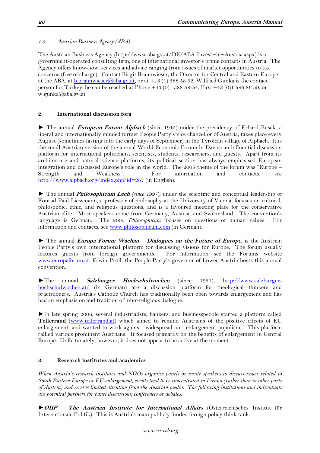<span id="page-25-0"></span>*1.5. Austrian Business Agency (ABA)*

The Austrian Business Agency (http://www.aba.gv.at/DE/ABA-Invest+in+Austria.aspx) is a government-operated consulting firm, one of international investor's prime contacts in Austria. The Agency offers know-how, services and advice ranging from issues of market opportunities to tax concerns (free of charge). Contact Birgit Braunwieser, the Director for Central and Eastern Europe at the ABA, at [b.braunwieser@aba.gv.at,](mailto:b.braunwieser@aba.gv.at) or at +43 (1) 588 58 62. Wilfried Gunka is the contact person for Turkey; he can be reached at Phone +43 (0)1 588 58-54, Fax: +43 (0)1 586 86 59, or w.gunka@aba.gv.at

# <span id="page-25-1"></span>**2. International discussion fora**

► The annual **European Forum Alpbach** (since 1945) under the presidency of Erhard Busek, a liberal and internationally minded former People Party's vice chancellor of Austria, takes place every August (sometimes lasting into the early days of September) in the Tyrolean village of Alpbach. It is the small Austrian version of the annual World Economic Forum in Davos: an influential discussion platform for international politicians, scientists, students, researchers, and guests. Apart from its architecture and natural science platforms, its political section has always emphasised European integration and discussed Europe's role in the world. The 2005 theme of the forum was "Europe – Strength and Weakness". For information and contacts, see <http://www.alpbach.org/index.php?id=267> (in English).

► The annual **Philosophicum Lech** *(since 1997*), under the scientific and conceptual leadership of Konrad Paul Liessmann, a professor of philosophy at the University of Vienna, focuses on cultural, philosophic, ethic, and religious questions, and is a favoured meeting place for the conservative Austrian elite. Most speakers come from Germany, Austria, and Switzerland. The convention's language is German. The 2005 *Philosophicum* focuses on questions of human values. For information and contacts, see [www.philosophicum.com](http://www.philosophicum.com/) (in German).

► The annual **Europa Forum Wachau – Dialogues on the Future of Europe**, is the Austrian People Party's own international platform for discussing visions for Europe. The forum usually features guests from foreign governments. For information see the Forums website [www.europaforum.at](http://www.europaforum.at/). Erwin Pröll, the People Party's governor of Lower Austria hosts this annual convention.

►The annual **Salzburger Hochschulwochen** (since 1931), [http://www.salzburger](http://www.salzburger-hochschulwochen.at/)[hochschulwochen.at/](http://www.salzburger-hochschulwochen.at/) (in German) are a discussion platform for theological thinkers and practitioners. Austria's Catholic Church has traditionally been open towards enlargement and has had an emphasis on and tradition of inter-religious dialogue.

►In late spring 2006, several industrialists, bankers, and businesspeople started a platform called **Tellerrand** [\(www.tellerrand.at\)](http://www.tellerrand.at/) which aimed to remind Austrians of the positive effects of EU enlargement, and wanted to work against "widespread anti-enlargement populism." This platform rallied various prominent Austrians. It focused primarily on the benefits of enlargement in Central Europe. Unfortunately, however, it does not appear to be active at the moment.

# <span id="page-25-2"></span>**3. Research institutes and academics**

*When Austria's research institutes and NGOs organise panels or invite speakers to discuss issues related to South Eastern Europe or EU enlargement, events tend to be concentrated in Vienna (rather than in other parts of Austria) and receive limited attention from the Austrian media. The following institutions and individuals are potential partners for panel discussions, conferences or debates.*

►**OIIP – The Austrian Institute for International Affairs** (Österreichisches Institut für Internationale Politik). This is Austria's main publicly funded foreign policy think tank.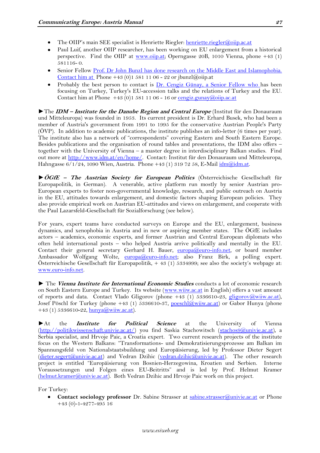- The OIIP's main SEE specialist is Henriette Riegler: [henriette.riegler@oiip.ac.at](mailto:henriette.riegler@oiip.ac.at)
- Paul Luif, another OIIP researcher, has been working on EU enlargement from a historical perspective. Find the OIIP at [www.oiip.at;](http://www.oiip.at/) Operngasse 20B, 1010 Vienna, phone +43 (1) 581116- 0.
- Senior Fellow [Prof. Dr John Bunzl has done research on the Middle East and Islamophobia.](http://www.oiip.ac.at/index.php?id=15&no_cache=1&tx_wecstaffdirectory_pi1%5bcurstaff%5d=9&cHash=53e3215d25333922ab1a1c4bf606fb5d)  [Contact him at](http://www.oiip.ac.at/index.php?id=15&no_cache=1&tx_wecstaffdirectory_pi1%5bcurstaff%5d=9&cHash=53e3215d25333922ab1a1c4bf606fb5d) Phone +43 (0)1 581 11 06 - 22 or jbunzl@oiip.at
- Probably the best person to contact is [Dr. Cengiz Günay, a Senior Fellow who h](http://www.oiip.ac.at/index.php?id=15&no_cache=1&tx_wecstaffdirectory_pi1%5bcurstaff%5d=15&cHash=82a4dab341b367cc50019a597bb279be)as been focusing on Turkey, Turkey's EU-accession talks and the relations of Turkey and the EU. Contact him at Phone  $+43(0)15811106 - 16$  or [cengiz.gunay@oiip.ac.at](mailto:cengiz.gunay@oiip.ac.at)

►The **IDM – Institute for the Danube Region and Central Europe** (Institut für den Donauraum und Mitteleuropa) was founded in 1953. Its current president is Dr. Erhard Busek, who had been a member of Austria's government from 1991 to 1995 for the conservative Austrian People's Party (ÖVP). In addition to academic publications, the institute publishes an info-letter (6 times per year). The institute also has a network of "correspondents" covering Eastern and South Eastern Europe. Besides publications and the organisation of round tables and presentations, the IDM also offers – together with the University of Vienna – a master degree in interdisciplinary Balkan studies. Find out more at [http://www.idm.at/en/home/.](http://www.idm.at/en/home/) Contact: Institut für den Donauraum und Mitteleuropa, Hahngasse  $6/1/24$ , 1090 Wien, Austria. Phone +43 (1) 319 72 58, E-Mail  $\frac{\mathrm{idm}(a)\mathrm{idm}}{\mathrm{adm}a}$ t.

►**ÖGfE – The Austrian Society for European Politics** (Österreichische Gesellschaft für Europapolitik, in German). A venerable, active platform run mostly by senior Austrian pro-European experts to foster non-governmental knowledge, research, and public outreach on Austria in the EU, attitudes towards enlargement, and domestic factors shaping European policies. They also provide empirical work on Austrian EU-attitudes and views on enlargement, and cooperate with the Paul Lazarsfeld-Gesellschaft für Sozialforschung (see below).

For years, expert teams have conducted surveys on Europe and the EU, enlargement, business dynamics, and xenophobia in Austria and in new or aspiring member states. The ÖGfE includes actors – academics, economic experts, and former Austrian and Central European diplomats who often held international posts – who helped Austria arrive politically and mentally in the EU. Contact their general secretary Gerhard H. Bauer,  $\frac{\text{euroa}(Q) \text{euro-info.net}}{\text{fion.net}}$ , or board member Ambassador Wolfgang Wolte, [europa@euro-info.net;](mailto:europa@euro-info.net) also Franz Birk, a polling expert. Österreichische Gesellschaft für Europapolitik, + 43 (1) 5334999; see also the society's webpage at: [www.euro-info.net.](http://www.euro-info.net/)

► The **Vienna Institute for International Economic Studies** conducts a lot of economic research on South Eastern Europe and Turkey. Its website [\(www.wiiw.ac.at](http://www.wiiw.ac.at/) in English) offers a vast amount of reports and data. Contact Vlado Gligorov (phone +43 (1) 5336610-23, [gligorov@wiiw.ac.at\)](mailto:gligorov@wiiw.ac.at), Josef Pöschl for Turkey (phone +43 (1) 5336610-37, [poeschl@wiiw.ac.at\)](mailto:poeschl@wiiw.ac.at) or Gabor Hunya (phone +43 (1) 5336610-22,  $\frac{\text{hunya}(a)}{\text{wiiw.ac.at}}$ .

►At the **Institute for Political Science** at the University of Vienna [\(http://politikwissenschaft.univie.ac.at/\)](http://politikwissenschaft.univie.ac.at/) you find Saskia Stachowitsch [\(stachos9@univie.ac.at\)](mailto:stachos9@univie.ac.at), a Serbia specialist, and Hrvoje Paic, a Croatia expert. Two current research projects of the institute focus on the Western Balkans: "Transformations- und Demokratisierungsprozesse am Balkan im Spannungsfeld von Nationalstaatsbuildung und Europäisierung, led by Professor Dieter Segert [\(dieter.segert@univie.ac.at\)](mailto:dieter.segert@univie.ac.at) and Vedran Dzihic [\(vedran.dzihic@univie.ac.at\)](mailto:vedran.dzihic@univie.ac.at). The other research project is entitled "Europäisierung von Bosnien-Herzegowina, Kroatien und Serbien. Interne Voraussetzungen und Folgen eines EU-Beitritts" and is led by Prof. Helmut Kramer [\(helmut.kramer@univie.ac.at\)](mailto:helmut.kramer@univie.ac.at). Both Vedran Dzihic and Hrvoje Paic work on this project.

For Turkey:

**Contact sociology professor** Dr. Sabine Strasser at [sabine.strasser@univie.ac.at](mailto:sabine.strasser@univie.ac.at) or Phone +43 (0)-1-4277-495 16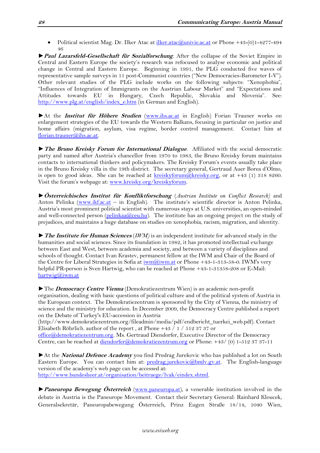Political scientist Mag. Dr. Ilker Atac a[t ilker.atac@univie.ac.at](mailto:ilker.atac@univie.ac.at) or Phone +43-(0)1-4277-494  $\bullet$ 46

►**Paul Lazarsfeld-Gesellschaft für Sozialforschung**. After the collapse of the Soviet Empire in Central and Eastern Europe the society's research was refocused to analyse economic and political change in Central and Eastern Europe. Beginning in 1991, the PLG conducted five waves of representative sample surveys in 11 post-Communist countries ("New Democracies-Barometer I-V"). Other relevant studies of the PLG include works on the following subjects: "Xenophobia", "Influences of Integration of Immigrants on the Austrian Labour Market" and "Expectations and Attitudes towards EU in Hungary, Czech Republic, Slovakia and Slovenia". See: [http://www.plg.at/english/index\\_e.htm](http://www.plg.at/english/index_e.htm) (in German and English).

►At the **Institut für Höhere Studien** [\(www.ihs.ac.at](http://www.ihs.ac.at/) in English) Forian Trauner works on enlargement strategies of the EU towards the Western Balkans, focusing in particular on justice and home affairs (migration, asylum, visa regime, border control management. Contact him at [florian.trauner@ihs.ac.at.](mailto:florian.trauner@ihs.ac.at)

*►***The Bruno Kreisky Forum for International Dialogue**. Affiliated with the social democratic party and named after Austria's chancellor from 1970 to 1983, the Bruno Kreisky forum maintains contacts to international thinkers and policymakers. The Kreisky Forum's events usually take place in the Bruno Kreisky villa in the 19th district. The secretary general, Gertraud Auer Borea d'Olmo, is open to good ideas. She can be reached at [kreiskyforum@kreisky.org,](mailto:kreiskyforum@kreisky.org) or at +43 (1) 318 8260. Visit the forum's webpage at: [www.kreisky.org/kreiskyforum.](http://www.kreisky.org/kreiskyforum)

►**Österreichisches Institut für Konfliktforschung** (*Austrian Institute on Conflict Research)* and Anton Pelinka [\(www.ikf.ac.at](http://www.ikf.ac.at/) - in English). The institute's scientific director is Anton Pelinka, Austria's most prominent political scientist with numerous stays at U.S. universities, an open-minded and well-connected person [\(pelinkaa@ceu.hu\)](mailto:pelinkaa@ceu.hu). The institute has an ongoing project on the study of prejudices, and maintains a huge database on studies on xenophobia, racism, migration, and identity.

►**The Institute for Human Sciences** (*IWM)* is an independent institute for advanced study in the humanities and social sciences. Since its foundation in 1982, it has promoted intellectual exchange between East and West, between academia and society, and between a variety of disciplines and schools of thought. Contact Ivan Krastev, permanent fellow at the IWM and Chair of the Board of the Centre for Liberal Strategies in Sofia at  $\overline{\text{iwm}}$ @iwm.at or Phone +43-1-313-58-0. IWM's very helpful PR-person is Sven Hartwig, who can be reached at Phone +43-1-31358-208 or E-Mail: [hartwig@iwm.at](mailto:hartwig@iwm.at)

►The **Democracy Centre Vienna** (Demokratiezentrum Wien) is an academic non-profit organisation, dealing with basic questions of political culture and of the political system of Austria in the European context. The Demokratiezentrum is sponsored by the City of Vienna, the ministry of science and the ministry for education. In December 2009, the Democracy Centre published a report on the Debate of Turkey's EU-accession in Austria

(http://www.demokratiezentrum.org/fileadmin/media/pdf/endbericht\_tuerkei\_web.pdf). Contact Elisabeth Röhrlich, author of the report , at Phone +43 / 1 / 512 37 37 or

[office@demokratiezentrum.org.](mailto:office@demokratiezentrum.org) Ms. Gertraud Diendorfer, Executive Director of the Democracy Centre, can be reached at [diendorfer@demokratiezentrum.org](mailto:diendorfer@demokratiezentrum.org) or Phone: +43/ (0) 1-512 37 37-11

►At the **National Defence Academy** you find Predrag Jurekovic who has published a lot on South Eastern Europe. You can contact him at:  $predrag.jurekovic@bmlv.gv.at.$  The English-language version of the academy's web page can be accessed at: [http://www.bundesheer.at/organisation/beitraege/lvak/eindex.shtml.](http://www.bundesheer.at/organisation/beitraege/lvak/eindex.shtml)

►**Paneuropa Bewegung Österreich** [\(www.paneuropa.at\)](http://www.paneuropa.at/), a venerable institution involved in the debate in Austria is the Paneurope Movement. Contact their Secretary General: Rainhard Kloucek, Generalsekretär, Paneuropabewegung Österreich, Prinz Eugen Straße 18/14, 1040 Wien,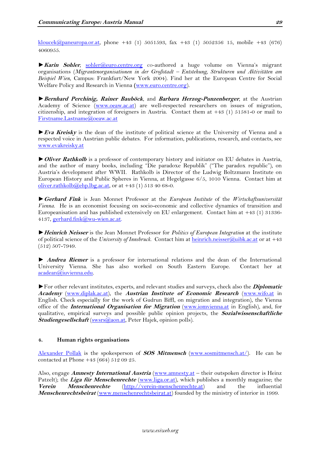[kloucek@paneuropa.or.at,](http://us.f513.mail.yahoo.com/ym/Compose?To=kloucek@paneuropa.or.at&YY=12531&y5beta=yes&y5beta=yes&order=down&sort=date&pos=0&view=a&head=b) phone +43 (1) 5051593, fax +43 (1) 5052356 15, mobile +43 (676) 4060955.

►**Karin Sohler**, [sohler@euro.centre.org](mailto:sohler@euro.centre.org) co-authored a huge volume on Vienna's migrant organisations (*Migrantenorganisationen in der Großstadt – Entstehung, Strukturen und Aktivitäten am Beispiel Wien*, Campus: Frankfurt/New York 2004). Find her at the European Centre for Social Welfare Policy and Research in Vienna **(**[www.euro.centre.org\)](http://www.euro.centre.org/).

►**Bernhard Perchinig, Rainer Bauböck**, and **Barbara Herzog-Punzenberger**, at the Austrian Academy of Science [\(www.oeaw.ac.at\)](http://www.oeaw.ac.at/) are well-respected researchers on issues of migration, citizenship, and integration of foreigners in Austria. Contact them at +43 (1) 51581-0 or mail to [Firstname.Lastname@oeaw.ac.at](mailto:Firstname.Lastname@oeaw.ac.at)

►**Eva Kreisky** is the dean of the institute of political science at the University of Vienna and a respected voice in Austrian public debates. For information, publications, research, and contacts, see [www.evakreisky.at](http://www.evakreisky.at/)

►**Oliver Rathkolb** is a professor of contemporary history and initiator on EU debates in Austria, and the author of many books, including "Die paradoxe Republik" ("The paradox republic"), on Austria's development after WWII. Rathkolb is Director of the Ludwig Boltzmann Institute on European History and Public Spheres in Vienna, at Hegelgasse 6/5, 1010 Vienna. Contact him at [oliver.rathkolb@ehp.lbg.ac.at,](mailto:oliver.rathkolb@ehp.lbg.ac.at) or at  $+43$  (1) 513 40 68-0.

►**Gerhard Fink** is Jean Monnet Professor at the *European Institute* of the *Wirtschaftsuniversität Vienna*. He is an economist focusing on socio-economic and collective dynamics of transition and Europeanisation and has published extensively on EU enlargement. Contact him at +43 (1) 31336- 4137, [gerhard.fink@wu-wien.ac.at.](mailto:gerhard.fink@wu-wien.ac.at)

►**Heinrich Neisser** is the Jean Monnet Professor for *Politics of European Integration* at the institute of political science of the *University of Innsbruck*. Contact him at [heinrich.neisser@uibk.ac.at](mailto:heinrich.neisser@uibk.ac.at) or at +43 (512) 507-7949.

► **Andrea Riemer** is a professor for international relations and the dean of the International University Vienna. She has also worked on South Eastern Europe. Contact her at [acadean@iuvienna.edu.](mailto:acadean@iuvienna.edu)

►For other relevant institutes, experts, and relevant studies and surveys, check also the **Diplomatic Academy** [\(www.diplak.ac.at\)](http://www.diplak.ac.at/), the **Austrian Institute of Economic Research** [\(www.wifo.at](http://www.wifo.at/) in English. Check especially for the work of Gudrun Biffl, on migration and integration), the Vienna office of the **International Organisation for Migration** [\(www.iomvienna.at](http://www.iomvienna.at/) in English), and, for qualitative, empirical surveys and possible public opinion projects, the **Sozialwissenschaftliche**  Studiengesellschaft [\(swsrs@aon.at,](mailto:swsrs@aon.at) Peter Hajek, opinion polls).

#### <span id="page-28-0"></span>**4. Human rights organisations**

[Alexander Pollak](mailto:alexander.pollak@sosmitmensch.at) is the spokesperson of **SOS Mitmensch** [\(www.sosmitmensch.at/\)](http://www.sosmitmensch.at/). He can be contacted at Phone +43 (664) 512 09 25.

Also, engage **Amnesty International Austria** [\(www.amnesty.at](http://www.amnesty.at/) – their outspoken director is Heinz Patzelt); the *Liga für Menschenrechte* [\(www.liga.or.at\)](http://www.liga.or.at/), which publishes a monthly magazine; the **Verein Menschenrechte** [\(http://verein-menschenrechte.at\)](http://verein-menschenrechte.at/) and the influential **Menschenrechtsbeirat** [\(www.menschenrechtsbeirat.at\)](http://www.menschenrechtsbeirat.at/) founded by the ministry of interior in 1999.